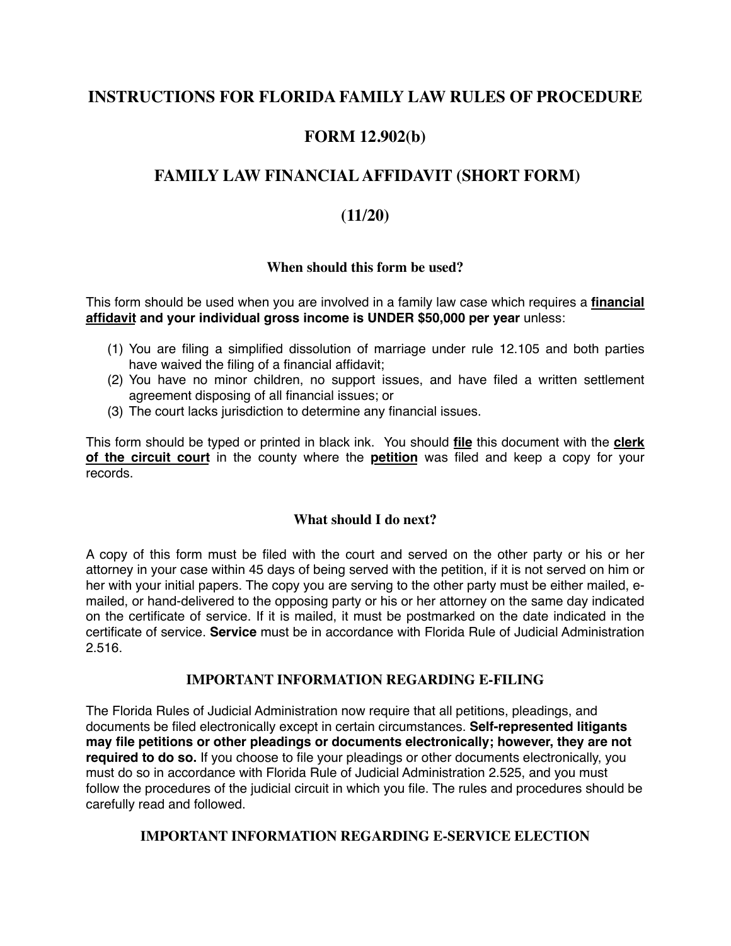# **INSTRUCTIONS FOR FLORIDA FAMILY LAW RULES OF PROCEDURE**

# **FORM 12.902(b)**

# **FAMILY LAW FINANCIAL AFFIDAVIT (SHORT FORM)**

## **(11/20)**

### **When should this form be used?**

This form should be used when you are involved in a family law case which requires a **financial affidavit and your individual gross income is UNDER \$50,000 per year** unless:

- (1) You are filing a simplified dissolution of marriage under rule 12.105 and both parties have waived the filing of a financial affidavit;
- (2) You have no minor children, no support issues, and have filed a written settlement agreement disposing of all financial issues; or
- (3) The court lacks jurisdiction to determine any financial issues.

This form should be typed or printed in black ink. You should **file** this document with the **clerk of the circuit court** in the county where the **petition** was filed and keep a copy for your records.

### **What should I do next?**

A copy of this form must be filed with the court and served on the other party or his or her attorney in your case within 45 days of being served with the petition, if it is not served on him or her with your initial papers. The copy you are serving to the other party must be either mailed, emailed, or hand-delivered to the opposing party or his or her attorney on the same day indicated on the certificate of service. If it is mailed, it must be postmarked on the date indicated in the certificate of service. **Service** must be in accordance with Florida Rule of Judicial Administration 2.516.

### **IMPORTANT INFORMATION REGARDING E-FILING**

The Florida Rules of Judicial Administration now require that all petitions, pleadings, and documents be filed electronically except in certain circumstances. **Self-represented litigants may file petitions or other pleadings or documents electronically; however, they are not required to do so.** If you choose to file your pleadings or other documents electronically, you must do so in accordance with Florida Rule of Judicial Administration 2.525, and you must follow the procedures of the judicial circuit in which you file. The rules and procedures should be carefully read and followed.

### **IMPORTANT INFORMATION REGARDING E-SERVICE ELECTION**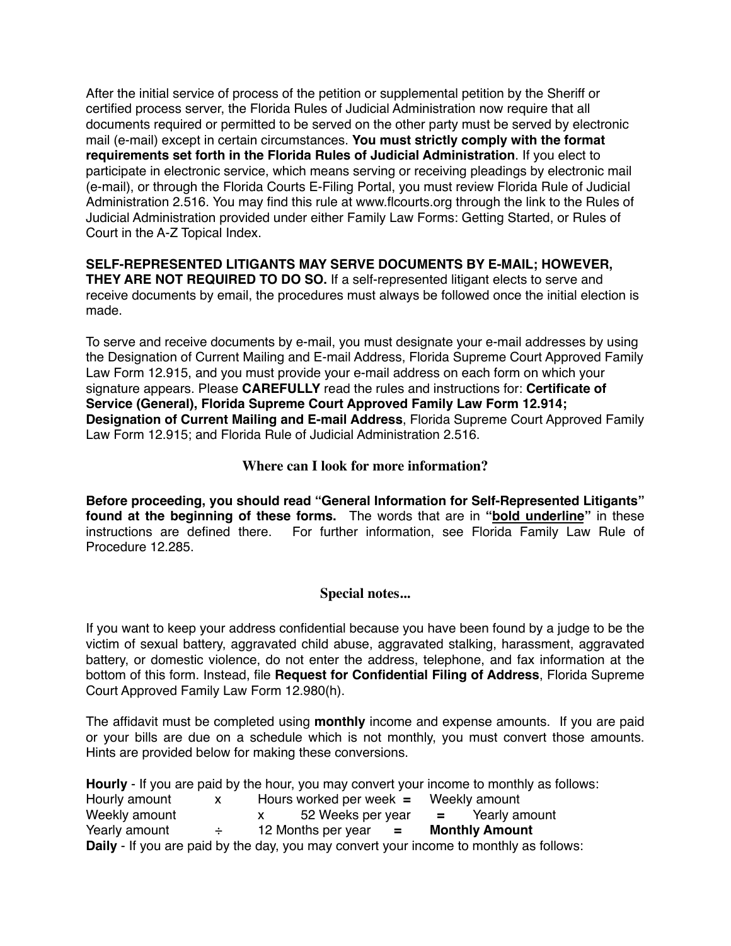After the initial service of process of the petition or supplemental petition by the Sheriff or certified process server, the Florida Rules of Judicial Administration now require that all documents required or permitted to be served on the other party must be served by electronic mail (e-mail) except in certain circumstances. **You must strictly comply with the format requirements set forth in the Florida Rules of Judicial Administration**. If you elect to participate in electronic service, which means serving or receiving pleadings by electronic mail (e-mail), or through the Florida Courts E-Filing Portal, you must review Florida Rule of Judicial Administration 2.516. You may find this rule at www.flcourts.org through the link to the Rules of Judicial Administration provided under either Family Law Forms: Getting Started, or Rules of Court in the A-Z Topical Index.

**SELF-REPRESENTED LITIGANTS MAY SERVE DOCUMENTS BY E-MAIL; HOWEVER, THEY ARE NOT REQUIRED TO DO SO.** If a self-represented litigant elects to serve and receive documents by email, the procedures must always be followed once the initial election is made.

To serve and receive documents by e-mail, you must designate your e-mail addresses by using the Designation of Current Mailing and E-mail Address, Florida Supreme Court Approved Family Law Form 12.915, and you must provide your e-mail address on each form on which your signature appears. Please **CAREFULLY** read the rules and instructions for: **Certificate of Service (General), Florida Supreme Court Approved Family Law Form 12.914; Designation of Current Mailing and E-mail Address**, Florida Supreme Court Approved Family Law Form 12.915; and Florida Rule of Judicial Administration 2.516.

## **Where can I look for more information?**

**Before proceeding, you should read "General Information for Self-Represented Litigants" found at the beginning of these forms.** The words that are in **"bold underline"** in these instructions are defined there. For further information, see Florida Family Law Rule of Procedure 12.285.

### **Special notes...**

If you want to keep your address confidential because you have been found by a judge to be the victim of sexual battery, aggravated child abuse, aggravated stalking, harassment, aggravated battery, or domestic violence, do not enter the address, telephone, and fax information at the bottom of this form. Instead, file **Request for Confidential Filing of Address**, Florida Supreme Court Approved Family Law Form 12.980(h).

The affidavit must be completed using **monthly** income and expense amounts. If you are paid or your bills are due on a schedule which is not monthly, you must convert those amounts. Hints are provided below for making these conversions.

**Hourly** - If you are paid by the hour, you may convert your income to monthly as follows: Hourly amount x Hours worked per week **=** Weekly amount Weekly amount x 52 Weeks per year **=** Yearly amount Yearly amount ÷ 12 Months per year **= Monthly Amount Daily** - If you are paid by the day, you may convert your income to monthly as follows: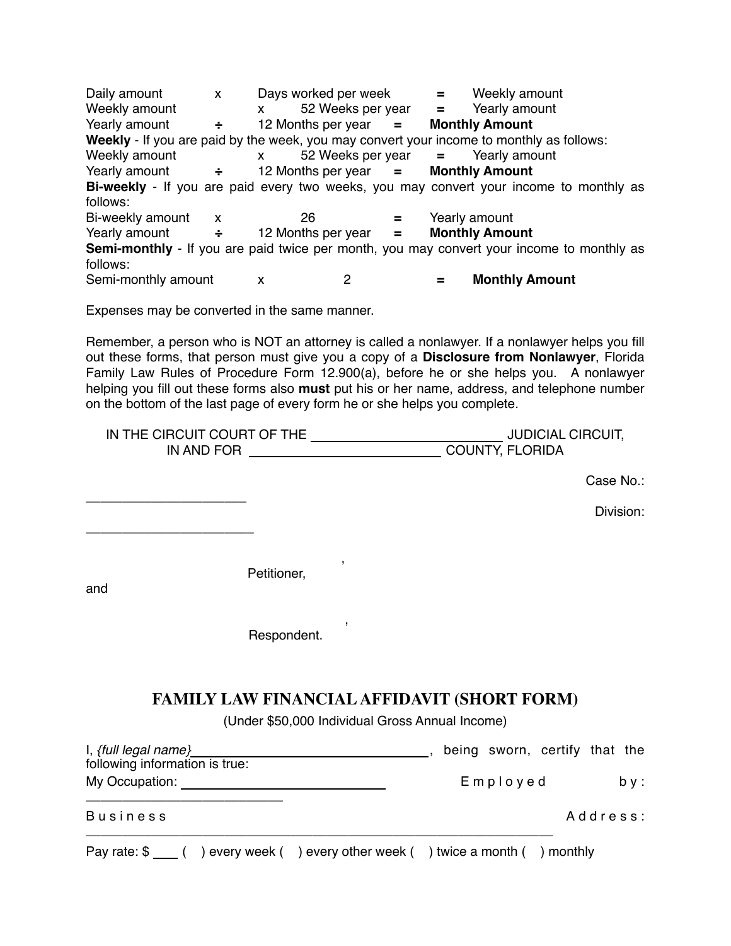Daily amount x Days worked per week **=** Weekly amount Weekly amount  $x = 52$  Weeks per year  $y = 12$  Mearly amount Yearly amount Yearly amount  $\div$  12 Months per year = **Weekly** - If you are paid by the week, you may convert your income to monthly as follows: Weekly amount x 52 Weeks per year **=** Yearly amount Yearly amount **÷** 12 Months per year **= Monthly Amount Bi-weekly** - If you are paid every two weeks, you may convert your income to monthly as follows: Bi-weekly amount x 26 **=** Yearly amount Yearly amount **÷** 12 Months per year **= Monthly Amount Semi-monthly** - If you are paid twice per month, you may convert your income to monthly as follows: Semi-monthly amount x 2 **= Monthly Amount**

Expenses may be converted in the same manner.

Remember, a person who is NOT an attorney is called a nonlawyer. If a nonlawyer helps you fill out these forms, that person must give you a copy of a **Disclosure from Nonlawyer**, Florida Family Law Rules of Procedure Form 12.900(a), before he or she helps you. A nonlawyer helping you fill out these forms also **must** put his or her name, address, and telephone number on the bottom of the last page of every form he or she helps you complete.

| IN THE CIRCUIT COURT OF THE | <b>JUDICIAL CIRCUIT,</b> |
|-----------------------------|--------------------------|
| IN AND FOR                  | <b>COUNTY, FLORIDA</b>   |

**Case No.: Case No.:** 

Division:

 , Petitioner,

and

\_\_\_\_\_\_\_\_\_\_\_\_\_\_\_\_\_\_\_\_\_\_

\_\_\_\_\_\_\_\_\_\_\_\_\_\_\_\_\_\_\_\_\_\_\_

 , Respondent.

## **FAMILY LAW FINANCIAL AFFIDAVIT (SHORT FORM)**

(Under \$50,000 Individual Gross Annual Income)

| Employed | b v :                         |
|----------|-------------------------------|
|          | Address:                      |
|          | being sworn, certify that the |

| Pay rate: $\frac{1}{2}$ $\frac{1}{2}$ |  | ) every week ( ) every other week ( ) twice a month ( ) monthly |  |  |
|---------------------------------------|--|-----------------------------------------------------------------|--|--|
|---------------------------------------|--|-----------------------------------------------------------------|--|--|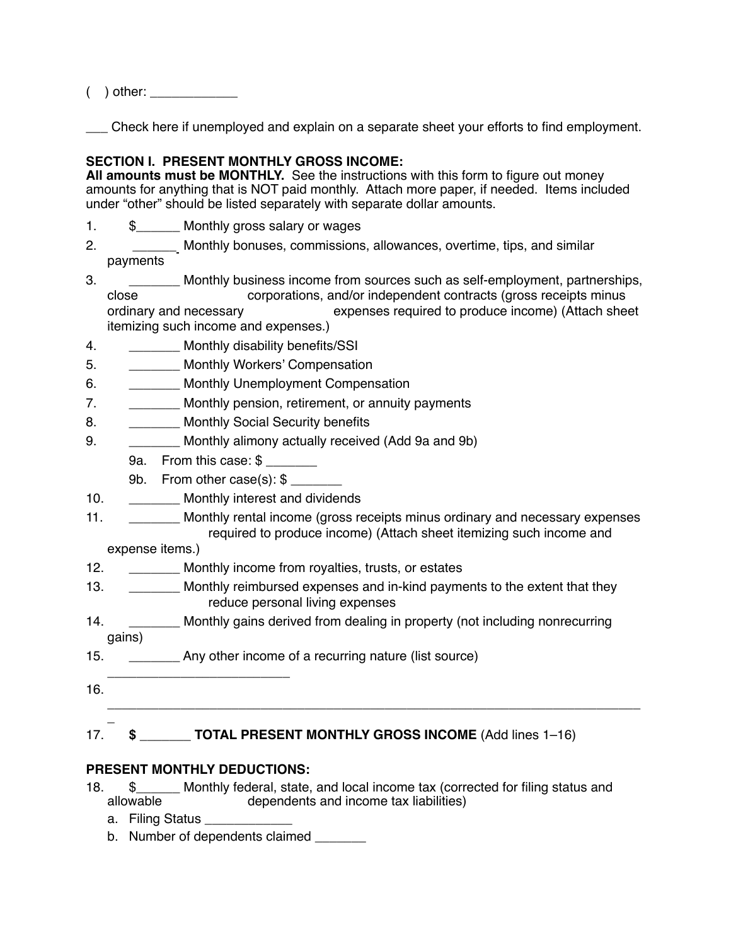( ) other: \_\_\_\_\_\_\_\_\_\_\_\_

\_\_\_ Check here if unemployed and explain on a separate sheet your efforts to find employment.

#### **SECTION I. PRESENT MONTHLY GROSS INCOME:**

**All amounts must be MONTHLY.** See the instructions with this form to figure out money amounts for anything that is NOT paid monthly. Attach more paper, if needed. Items included under "other" should be listed separately with separate dollar amounts.

- 1. \$\_\_\_\_\_\_ Monthly gross salary or wages
- 2. \_\_\_\_\_\_\_\_\_ Monthly bonuses, commissions, allowances, overtime, tips, and similar payments
- 3. \_\_\_\_\_\_\_\_\_\_ Monthly business income from sources such as self-employment, partnerships, close corporations, and/or independent contracts (gross receipts minus<br>ordinary and necessary expenses required to produce income) (Attach she expenses required to produce income) (Attach sheet itemizing such income and expenses.)
- 4. Monthly disability benefits/SSI
- 5. \_\_\_\_\_\_\_ Monthly Workers' Compensation
- 6. \_\_\_\_\_\_\_ Monthly Unemployment Compensation
- 7. \_\_\_\_\_\_\_\_\_ Monthly pension, retirement, or annuity payments
- 8. \_\_\_\_\_\_\_\_\_\_ Monthly Social Security benefits
- 9. \_\_\_\_\_\_\_ Monthly alimony actually received (Add 9a and 9b)
	- 9a. From this case: \$
	- 9b. From other case(s): \$ \_\_\_\_\_\_\_
- 10. \_\_\_\_\_\_\_ Monthly interest and dividends
- 11. \_\_\_\_\_\_\_\_\_ Monthly rental income (gross receipts minus ordinary and necessary expenses required to produce income) (Attach sheet itemizing such income and

expense items.)

- 12. **Monthly income from royalties, trusts, or estates**
- 13. **Monthly reimbursed expenses and in-kind payments to the extent that they** reduce personal living expenses
- 14. \_\_\_\_\_\_\_\_\_ Monthly gains derived from dealing in property (not including nonrecurring gains)

\_\_\_\_\_\_\_\_\_\_\_\_\_\_\_\_\_\_\_\_\_\_\_\_\_\_\_\_\_\_\_\_\_\_\_\_\_\_\_\_\_\_\_\_\_\_\_\_\_\_\_\_\_\_\_\_\_\_\_\_\_\_\_\_\_\_\_\_\_\_\_\_\_

- 15. \_\_\_\_\_\_\_\_\_\_\_\_ Any other income of a recurring nature (list source)
- 16.

\_

# 17. **\$ TOTAL PRESENT MONTHLY GROSS INCOME** (Add lines 1–16)

## **PRESENT MONTHLY DEDUCTIONS:**

\_\_\_\_\_\_\_\_\_\_\_\_\_\_\_\_\_\_\_\_\_\_\_\_\_

- 18. \$\_\_\_\_\_\_\_ Monthly federal, state, and local income tax (corrected for filing status and allowable dependents and income tax liabilities) dependents and income tax liabilities)
	- a. Filing Status
	- b. Number of dependents claimed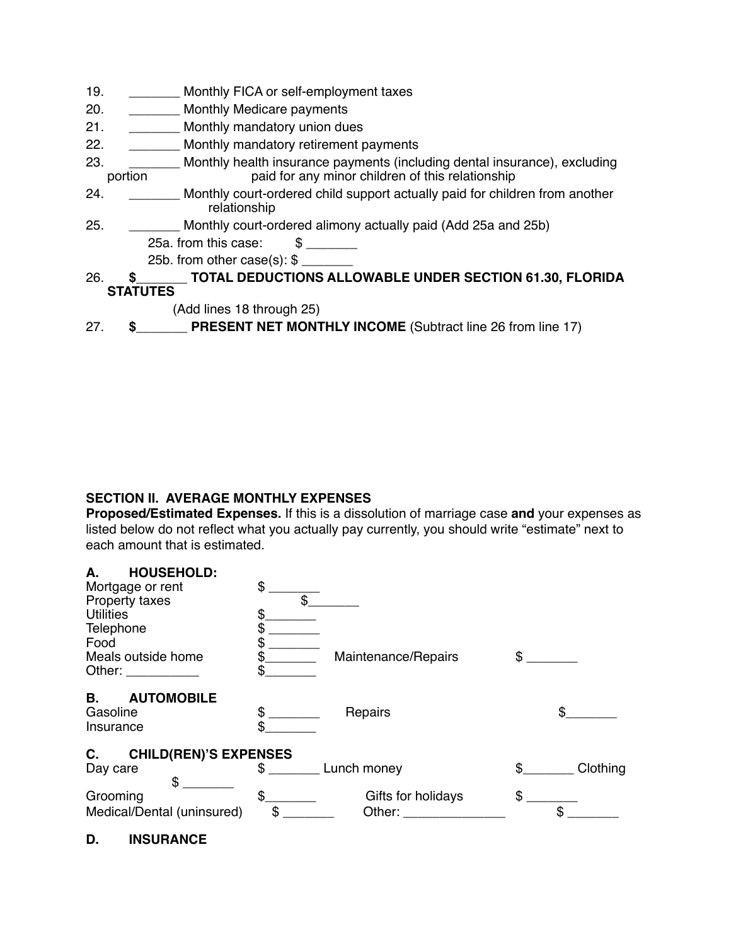- 19. \_\_\_\_\_\_\_ Monthly FICA or self-employment taxes
- 20. **Monthly Medicare payments**
- 21. \_\_\_\_\_\_\_\_\_ Monthly mandatory union dues
- 22. \_\_\_\_\_\_\_ Monthly mandatory retirement payments
- 23. \_\_\_\_\_\_\_\_\_\_ Monthly health insurance payments (including dental insurance), excluding portion paid for any minor children of this relationship paid for any minor children of this relationship
- 24. \_\_\_\_\_\_\_\_\_ Monthly court-ordered child support actually paid for children from another relationship
- 25. \_\_\_\_\_\_\_ Monthly court-ordered alimony actually paid (Add 25a and 25b)

25a. from this case: \$

25b. from other case $(s)$ : \$

26. **\$**\_\_\_\_\_\_\_ **TOTAL DEDUCTIONS ALLOWABLE UNDER SECTION 61.30, FLORIDA STATUTES**

(Add lines 18 through 25)

27. **\$**\_\_\_\_\_\_\_ **PRESENT NET MONTHLY INCOME** (Subtract line 26 from line 17)

### **SECTION II. AVERAGE MONTHLY EXPENSES**

**Proposed/Estimated Expenses.** If this is a dissolution of marriage case **and** your expenses as listed below do not reflect what you actually pay currently, you should write "estimate" next to each amount that is estimated.

| <b>HOUSEHOLD:</b><br>А.                                                                                                                                                                                                        |                                                                                                                                                                                                                                |                                                                                                                                                                                                                                |            |                |
|--------------------------------------------------------------------------------------------------------------------------------------------------------------------------------------------------------------------------------|--------------------------------------------------------------------------------------------------------------------------------------------------------------------------------------------------------------------------------|--------------------------------------------------------------------------------------------------------------------------------------------------------------------------------------------------------------------------------|------------|----------------|
| Mortgage or rent                                                                                                                                                                                                               | \$                                                                                                                                                                                                                             |                                                                                                                                                                                                                                |            |                |
| Property taxes                                                                                                                                                                                                                 | \$                                                                                                                                                                                                                             |                                                                                                                                                                                                                                |            |                |
| <b>Utilities</b>                                                                                                                                                                                                               |                                                                                                                                                                                                                                |                                                                                                                                                                                                                                |            |                |
| Telephone                                                                                                                                                                                                                      | \$                                                                                                                                                                                                                             |                                                                                                                                                                                                                                |            |                |
| Food                                                                                                                                                                                                                           |                                                                                                                                                                                                                                |                                                                                                                                                                                                                                |            |                |
| Meals outside home                                                                                                                                                                                                             |                                                                                                                                                                                                                                | Maintenance/Repairs                                                                                                                                                                                                            | $^{\circ}$ |                |
| Other: and the control of the control of the control of the control of the control of the control of the control of the control of the control of the control of the control of the control of the control of the control of t | S                                                                                                                                                                                                                              |                                                                                                                                                                                                                                |            |                |
| <b>B.</b><br><b>AUTOMOBILE</b>                                                                                                                                                                                                 |                                                                                                                                                                                                                                |                                                                                                                                                                                                                                |            |                |
| Gasoline                                                                                                                                                                                                                       | \$                                                                                                                                                                                                                             | Repairs                                                                                                                                                                                                                        |            | \$.            |
| Insurance                                                                                                                                                                                                                      | \$                                                                                                                                                                                                                             |                                                                                                                                                                                                                                |            |                |
| <b>CHILD(REN)'S EXPENSES</b><br>C.                                                                                                                                                                                             |                                                                                                                                                                                                                                |                                                                                                                                                                                                                                |            |                |
| Day care                                                                                                                                                                                                                       | S and the set of the set of the set of the set of the set of the set of the set of the set of the set of the set of the set of the set of the set of the set of the set of the set of the set of the set of the set of the set | Lunch money                                                                                                                                                                                                                    | $^{\circ}$ | Clothing       |
| \$                                                                                                                                                                                                                             |                                                                                                                                                                                                                                |                                                                                                                                                                                                                                |            |                |
| Grooming                                                                                                                                                                                                                       | $\mathfrak{S}$                                                                                                                                                                                                                 | Gifts for holidays                                                                                                                                                                                                             | \$         |                |
| Medical/Dental (uninsured)                                                                                                                                                                                                     | \$                                                                                                                                                                                                                             | Other: and the control of the control of the control of the control of the control of the control of the control of the control of the control of the control of the control of the control of the control of the control of t |            | $\mathbb{S}^-$ |

**D. INSURANCE**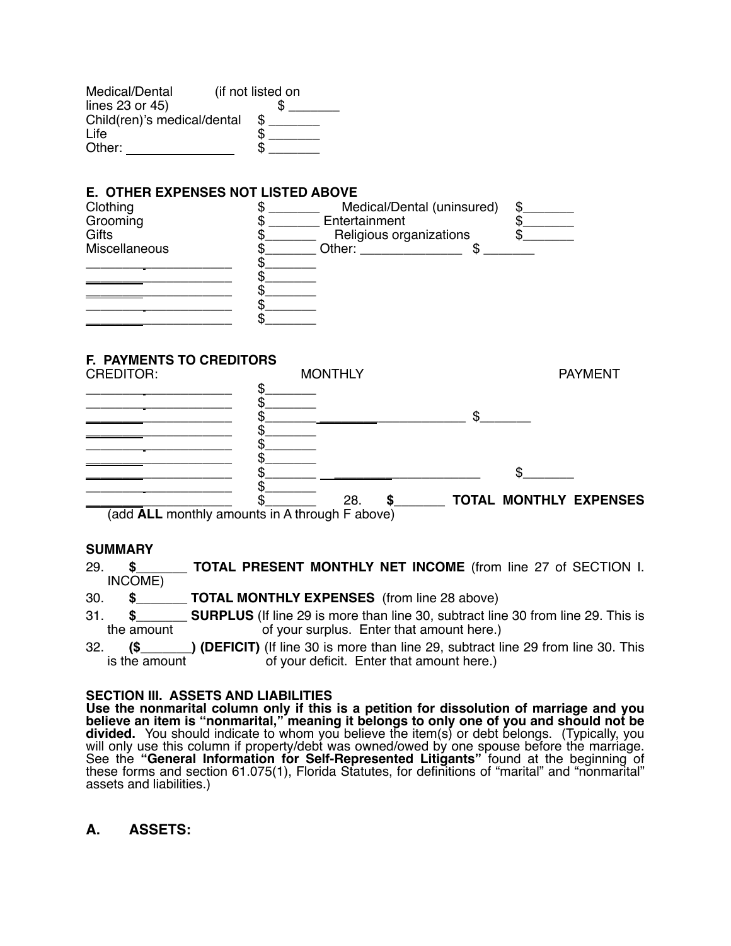| Medical/Dental              | (if not listed on |
|-----------------------------|-------------------|
| lines 23 or 45)             |                   |
| Child(ren)'s medical/dental |                   |
| Life                        |                   |
| Other:                      |                   |

# **E. OTHER EXPENSES NOT LISTED ABOVE**<br>Clothing **the State of the State**



#### **F. PAYMENTS TO CREDITORS**



(add **ALL** monthly amounts in A through F above)

#### **SUMMARY**

- 29. **\$\_\_\_\_\_\_\_ TOTAL PRESENT MONTHLY NET INCOME** (from line 27 of SECTION I. INCOME)
- 30. **\$\_\_\_\_\_\_\_ TOTAL MONTHLY EXPENSES** (from line 28 above)
- 31. **\$\_\_\_\_\_\_\_ SURPLUS** (If line 29 is more than line 30, subtract line 30 from line 29. This is the amount of your surplus. Enter that amount here.)
- 32. **(\$\_\_\_\_\_\_\_) (DEFICIT)** (If line 30 is more than line 29, subtract line 29 from line 30. This is the amount of your deficit. Enter that amount here.)

#### **SECTION III. ASSETS AND LIABILITIES**

**Use the nonmarital column only if this is a petition for dissolution of marriage and you believe an item is "nonmarital," meaning it belongs to only one of you and should not be divided.** You should indicate to whom you believe the item(s) or debt belongs. (Typically, you will only use this column if property/debt was owned/owed by one spouse before the marriage.<br>See the "General Information for Self-Represented Litigants" found at the beginning of these forms and section 61.075(1), Florida Statutes, for definitions of "marital" and "nonmarital" assets and liabilities.)

## **A. ASSETS:**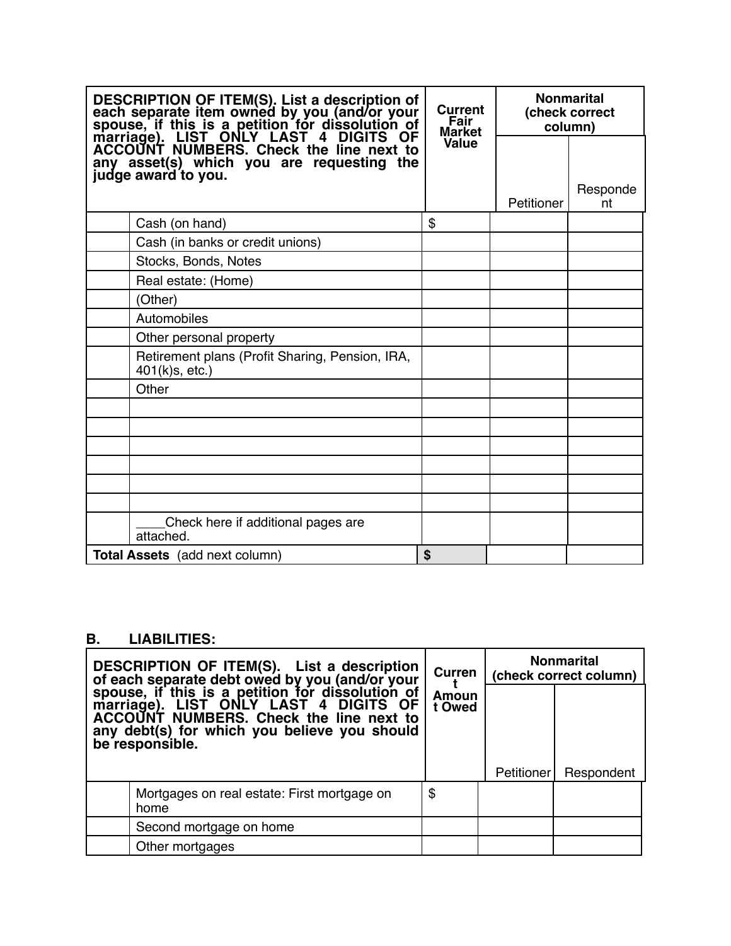| DESCRIPTION OF ITEM(S). List a description of<br>each separate item owned by you (and/or your<br>spouse, if this is a petition for dissolution of<br>marriage). LIST ONLY LAST 4 DIGITS OF<br>ACCOUNT NUMBERS. Check the line next to<br>any asset(s) which you are requesting<br>the<br>judge award to you. |                                                                   | Current<br>Fair<br><b>Market</b> | <b>Nonmarital</b><br>(check correct<br>column) |                |  |
|--------------------------------------------------------------------------------------------------------------------------------------------------------------------------------------------------------------------------------------------------------------------------------------------------------------|-------------------------------------------------------------------|----------------------------------|------------------------------------------------|----------------|--|
|                                                                                                                                                                                                                                                                                                              |                                                                   | Value                            |                                                |                |  |
|                                                                                                                                                                                                                                                                                                              |                                                                   |                                  | Petitioner                                     | Responde<br>nt |  |
|                                                                                                                                                                                                                                                                                                              | Cash (on hand)                                                    | \$                               |                                                |                |  |
|                                                                                                                                                                                                                                                                                                              | Cash (in banks or credit unions)                                  |                                  |                                                |                |  |
|                                                                                                                                                                                                                                                                                                              | Stocks, Bonds, Notes                                              |                                  |                                                |                |  |
|                                                                                                                                                                                                                                                                                                              | Real estate: (Home)                                               |                                  |                                                |                |  |
|                                                                                                                                                                                                                                                                                                              | (Other)                                                           |                                  |                                                |                |  |
|                                                                                                                                                                                                                                                                                                              | Automobiles                                                       |                                  |                                                |                |  |
|                                                                                                                                                                                                                                                                                                              | Other personal property                                           |                                  |                                                |                |  |
|                                                                                                                                                                                                                                                                                                              | Retirement plans (Profit Sharing, Pension, IRA,<br>401(k)s, etc.) |                                  |                                                |                |  |
|                                                                                                                                                                                                                                                                                                              | Other                                                             |                                  |                                                |                |  |
|                                                                                                                                                                                                                                                                                                              |                                                                   |                                  |                                                |                |  |
|                                                                                                                                                                                                                                                                                                              |                                                                   |                                  |                                                |                |  |
|                                                                                                                                                                                                                                                                                                              |                                                                   |                                  |                                                |                |  |
|                                                                                                                                                                                                                                                                                                              |                                                                   |                                  |                                                |                |  |
|                                                                                                                                                                                                                                                                                                              |                                                                   |                                  |                                                |                |  |
|                                                                                                                                                                                                                                                                                                              |                                                                   |                                  |                                                |                |  |
|                                                                                                                                                                                                                                                                                                              | Check here if additional pages are<br>attached.                   |                                  |                                                |                |  |
|                                                                                                                                                                                                                                                                                                              | <b>Total Assets</b> (add next column)                             | \$                               |                                                |                |  |

# **B. LIABILITIES:**

| DESCRIPTION OF ITEM(S). List a description<br>of each separate debt owed by you (and/or your<br>spouse, if this is a petition for dissolution of<br>marriage). LIST ONLY LAST 4 DIGITS OF<br>ACCOUNT NUMBERS. Check the line next to<br>any debt(s) for which you believe you should<br>be responsible. |                                                     | Curren          | <b>Nonmarital</b><br>(check correct column) |            |  |
|---------------------------------------------------------------------------------------------------------------------------------------------------------------------------------------------------------------------------------------------------------------------------------------------------------|-----------------------------------------------------|-----------------|---------------------------------------------|------------|--|
|                                                                                                                                                                                                                                                                                                         |                                                     | Amoun<br>t Owed | Petitioner                                  | Respondent |  |
|                                                                                                                                                                                                                                                                                                         | Mortgages on real estate: First mortgage on<br>home | \$              |                                             |            |  |
|                                                                                                                                                                                                                                                                                                         | Second mortgage on home                             |                 |                                             |            |  |
|                                                                                                                                                                                                                                                                                                         | Other mortgages                                     |                 |                                             |            |  |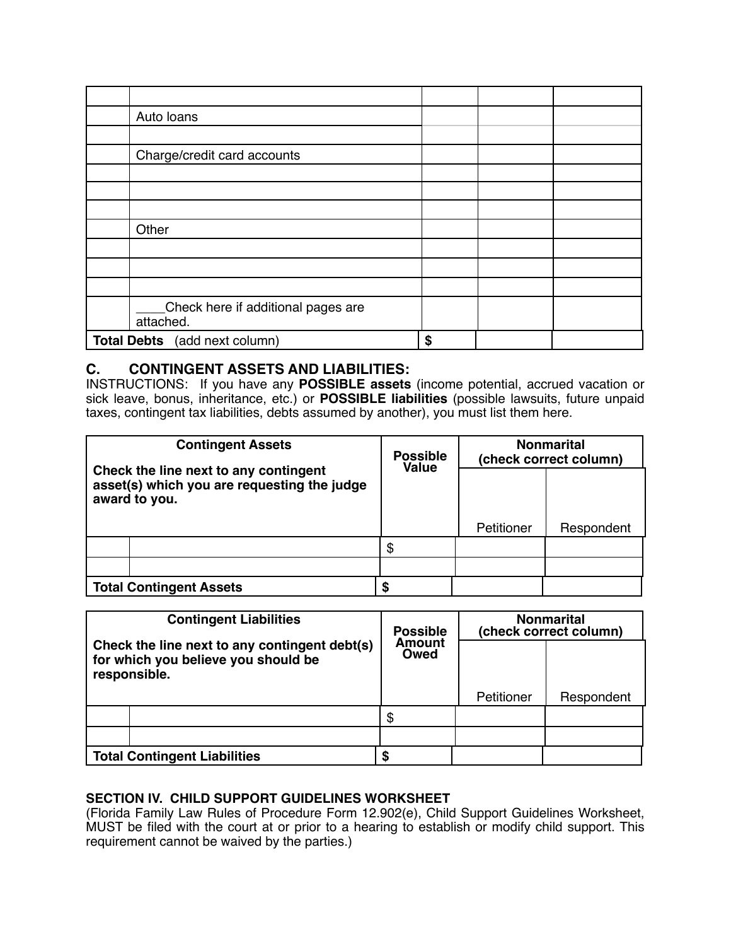| Auto loans                                      |    |  |
|-------------------------------------------------|----|--|
|                                                 |    |  |
| Charge/credit card accounts                     |    |  |
|                                                 |    |  |
|                                                 |    |  |
|                                                 |    |  |
| Other                                           |    |  |
|                                                 |    |  |
|                                                 |    |  |
|                                                 |    |  |
| Check here if additional pages are<br>attached. |    |  |
| Total Debts (add next column)                   | \$ |  |

## **C. CONTINGENT ASSETS AND LIABILITIES:**

INSTRUCTIONS: If you have any **POSSIBLE assets** (income potential, accrued vacation or sick leave, bonus, inheritance, etc.) or **POSSIBLE liabilities** (possible lawsuits, future unpaid taxes, contingent tax liabilities, debts assumed by another), you must list them here.

| <b>Contingent Assets</b>                                                                              | <b>Possible</b><br>Value | <b>Nonmarital</b><br>(check correct column) |            |  |  |
|-------------------------------------------------------------------------------------------------------|--------------------------|---------------------------------------------|------------|--|--|
| Check the line next to any contingent<br>asset(s) which you are requesting the judge<br>award to you. |                          |                                             |            |  |  |
|                                                                                                       |                          | Petitioner                                  | Respondent |  |  |
|                                                                                                       | \$                       |                                             |            |  |  |
|                                                                                                       |                          |                                             |            |  |  |
| <b>Total Contingent Assets</b>                                                                        | S                        |                                             |            |  |  |

| <b>Contingent Liabilities</b><br>Check the line next to any contingent debt(s)<br>for which you believe you should be<br>responsible. |                                     | <b>Possible</b><br>Amount<br>Owed | <b>Nonmarital</b><br>(check correct column) |            |  |  |
|---------------------------------------------------------------------------------------------------------------------------------------|-------------------------------------|-----------------------------------|---------------------------------------------|------------|--|--|
|                                                                                                                                       |                                     |                                   |                                             |            |  |  |
|                                                                                                                                       |                                     |                                   | Petitioner                                  | Respondent |  |  |
|                                                                                                                                       |                                     | \$                                |                                             |            |  |  |
|                                                                                                                                       |                                     |                                   |                                             |            |  |  |
|                                                                                                                                       | <b>Total Contingent Liabilities</b> |                                   |                                             |            |  |  |

### **SECTION IV. CHILD SUPPORT GUIDELINES WORKSHEET**

(Florida Family Law Rules of Procedure Form 12.902(e), Child Support Guidelines Worksheet, MUST be filed with the court at or prior to a hearing to establish or modify child support. This requirement cannot be waived by the parties.)